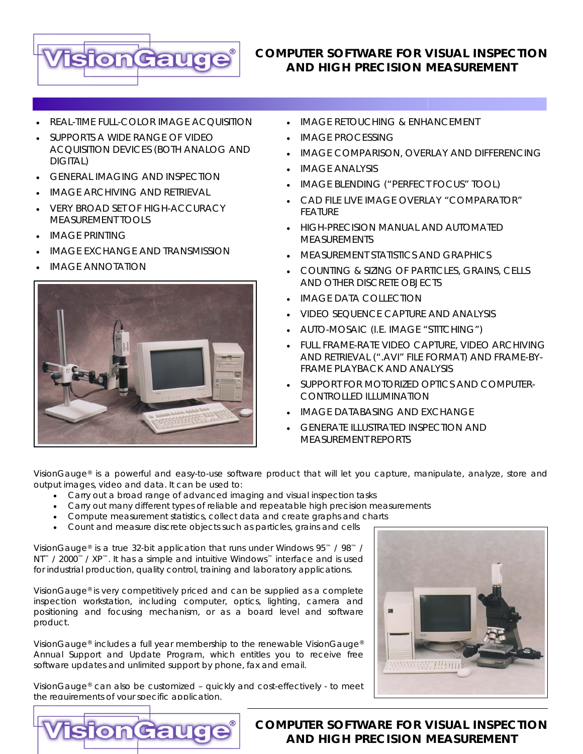

### **COMPUTER SOFTWARE FOR VISUAL INSPECTION AND HIGH PRECISION MEASUREMENT**

- REAL-TIME FULL-COLOR IMAGE ACQUISITION
- SUPPORTS A WIDE RANGE OF VIDEO ACQUISITION DEVICES (BOTH ANALOG AND DIGITAL)
- **GENERAL IMAGING AND INSPECTION**
- IMAGF ARCHIVING AND RETRIEVAL
- VERY BROAD SET OF HIGH-ACCURACY MEASUREMENT TOOLS
- IMAGE PRINTING
- IMAGE EXCHANGE AND TRANSMISSION
- IMAGE ANNOTATION



- IMAGE RETOUCHING & ENHANCEMENT
- IMAGE PROCESSING
- IMAGE COMPARISON, OVERLAY AND DIFFERENCING
- IMAGE ANALYSIS
- IMAGE BLENDING ("PERFECT FOCUS" TOOL)
- CAD FILE LIVE IMAGE OVERLAY "COMPARATOR" FEATURE
- HIGH-PRECISION MANUAL AND AUTOMATED MEASUREMENTS
- MEASUREMENT STATISTICS AND GRAPHICS
- COUNTING & SIZING OF PARTICLES, GRAINS, CELLS AND OTHER DISCRETE OBJECTS
- IMAGE DATA COLLECTION
- VIDEO SEQUENCE CAPTURE AND ANALYSIS
- AUTO-MOSAIC (I.E. IMAGE "STITCHING")
- FULL FRAME-RATE VIDEO CAPTURE, VIDEO ARCHIVING AND RETRIEVAL (".AVI" FILE FORMAT) AND FRAME-BY-FRAME PLAYBACK AND ANALYSIS
- SUPPORT FOR MOTORIZED OPTICS AND COMPUTER-CONTROLLED ILLUMINATION
- IMAGE DATABASING AND EXCHANGE
- GENERATE ILLUSTRATED INSPECTION AND MEASUREMENT REPORTS

[VisionGauge®](http://www.visionxinc.com/software-systems-machines/VisionGauge-main.html) is a powerful and easy-to-use software product that will let you capture, manipulate, analyze, store and output images, video and data. It can be used to:

- Carry out a broad range of advanced imaging and visual inspection tasks
- Carry out many different types of reliable and repeatable high precision measurements
- Compute measurement statistics, collect data and create graphs and charts
- Count and measure discrete objects such as particles, grains and cells

VisionGauge® is a true 32-bit application that runs under Windows 95™ / 98™ / NT™ / 2000™ / XP™. It has a simple and intuitive Windows™ interface and is used for industrial production, quality control, training and laboratory applications.

VisionGauge® is very competitively priced and can be supplied as a complete inspection workstation, including computer, optics, lighting, camera and positioning and focusing mechanism, or as a board level and software product.

VisionGauge® includes a full year membership to the renewable *VisionGauge® Annual Support and Update Program*, which entitles you to receive free software updates and unlimited support by phone, fax and email.



VisionGauge® can also be customized – quickly and cost-effectively - to meet the requirements of your specific application.



#### **COMPUTER SOFTWARE FOR VISUAL INSPECTION AND HIGH PRECISION MEASUREMENT**